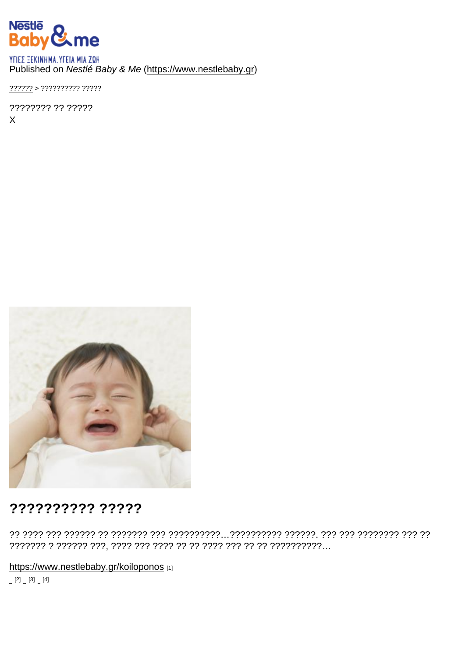### Published on Nestlé Baby & Me (https://www.nestlebaby.gr)

???????? ?? ?????  $\mathsf{X}$ 

## ?????????? ?????

https://www.nestlebaby.gr/koiloponos [1]

 $[2]$   $[3]$   $[4]$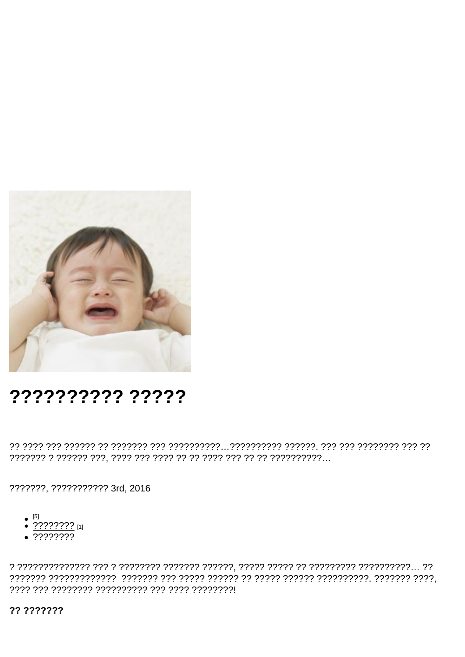# ?????????? ?????

???????, ??????????? 3rd, 2016

- $[5]$
- $\bullet$  ???????? [1]
- $\sqrt{2222222}$

?? ???????